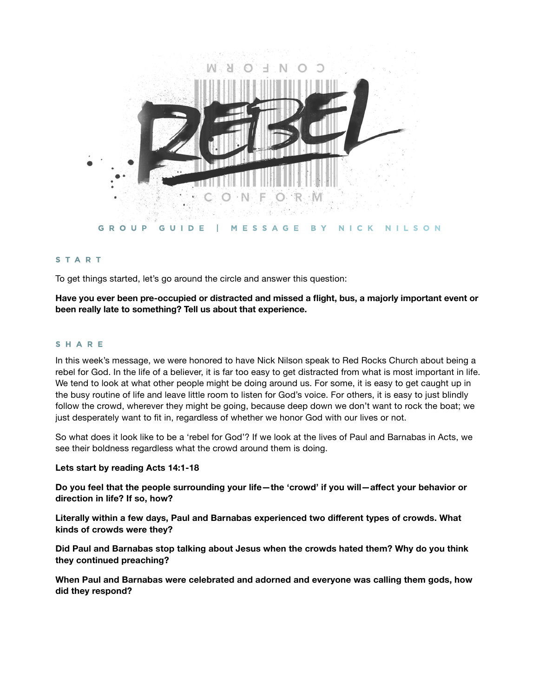

# **START**

To get things started, let's go around the circle and answer this question:

**Have you ever been pre-occupied or distracted and missed a flight, bus, a majorly important event or been really late to something? Tell us about that experience.**

## **SHARE**

In this week's message, we were honored to have Nick Nilson speak to Red Rocks Church about being a rebel for God. In the life of a believer, it is far too easy to get distracted from what is most important in life. We tend to look at what other people might be doing around us. For some, it is easy to get caught up in the busy routine of life and leave little room to listen for God's voice. For others, it is easy to just blindly follow the crowd, wherever they might be going, because deep down we don't want to rock the boat; we just desperately want to fit in, regardless of whether we honor God with our lives or not.

So what does it look like to be a 'rebel for God'? If we look at the lives of Paul and Barnabas in Acts, we see their boldness regardless what the crowd around them is doing.

#### **Lets start by reading Acts 14:1-18**

**Do you feel that the people surrounding your life—the 'crowd' if you will—affect your behavior or direction in life? If so, how?**

**Literally within a few days, Paul and Barnabas experienced two different types of crowds. What kinds of crowds were they?**

**Did Paul and Barnabas stop talking about Jesus when the crowds hated them? Why do you think they continued preaching?**

**When Paul and Barnabas were celebrated and adorned and everyone was calling them gods, how did they respond?**